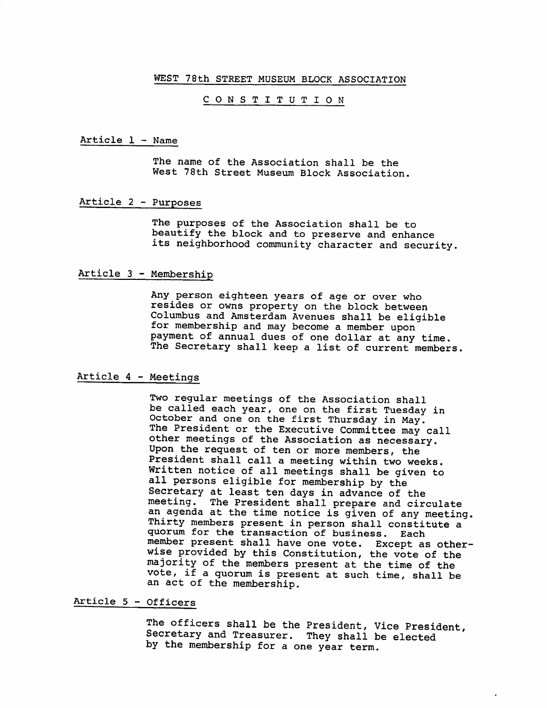## WEST 78th STREET MUSEUM BLOCK ASSOCIATION

## CONSTITUTION

Article 1 - Name

The name of the Association shall be the West 78th Street Museum Block Association.

Article 2 - Purposes

The purposes of the Association shall be to beautify the block and to preserve and enhance its neighborhood community character and security.

Article 3 - Membership

Any person eighteen years of age or over who resides or owns property on the block between Columbus and Amsterdam Avenues shall be eligible for membership and may become <sup>a</sup> member upon payment of annual dues of one dollar at any time. The Secretary shall keep a list of current members.

Article 4 - Meetings

Two regular meetings of the Association shall be called each year, one on the first Tuesday in October and one on the first Thursday in May. The President or the Executive Committee may call other meetings of the Association as necessary. Upon the request of ten or more members, the President shall call a meeting within two weeks. Written notice of all meetings shall be given to all persons eligible for membership by the Secretary at least ten days in advance of the meeting. The President shall prepare and circulate an agenda at the time notice is given of any meeting. Thirty members present in person shall constitute a quorum for the transaction of business. Each member present shall have one vote. Except as other wise provided by this Constitution, the vote of the majority of the members present at the time of the vote, if <sup>a</sup> quorum is present at such time, shall be an act of the membership.

Article 5 - Officers

The officers shall be the President, Vice President, Secretary and Treasurer. They shall be elected by the membership for a one year term.